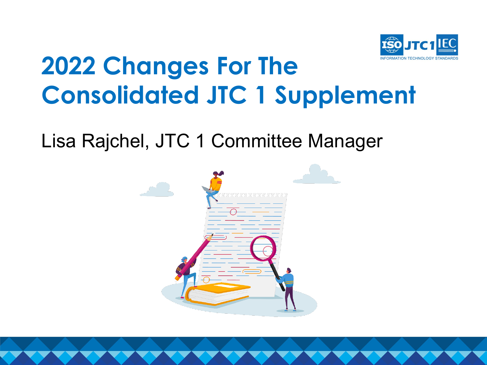

# **2022 Changes For The Consolidated JTC 1 Supplement**

Lisa Rajchel, JTC 1 Committee Manager

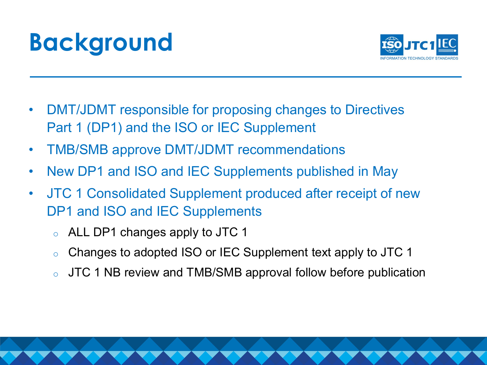# **Background**



- DMT/JDMT responsible for proposing changes to Directives Part 1 (DP1) and the ISO or IEC Supplement
- TMB/SMB approve DMT/JDMT recommendations
- New DP1 and ISO and IEC Supplements published in May
- JTC 1 Consolidated Supplement produced after receipt of new DP1 and ISO and IEC Supplements
	- o ALL DP1 changes apply to JTC 1
	- o Changes to adopted ISO or IEC Supplement text apply to JTC 1
	- o JTC 1 NB review and TMB/SMB approval follow before publication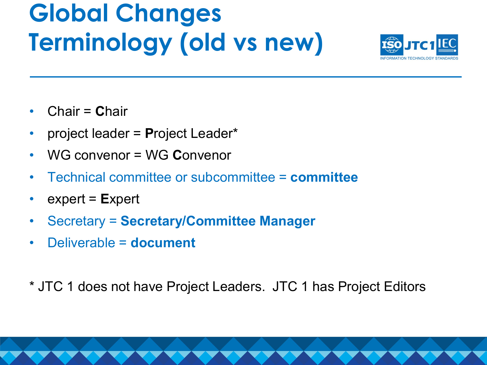# **Global Changes Terminology (old vs new)**



- Chair = **C**hair
- project leader = **P**roject Leader\*
- WG convenor = WG **C**onvenor
- Technical committee or subcommittee = **committee**
- expert = **E**xpert
- Secretary = **Secretary/Committee Manager**
- Deliverable = **document**
- \* JTC 1 does not have Project Leaders. JTC 1 has Project Editors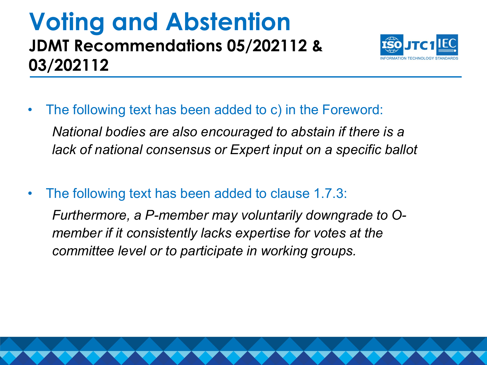### **Voting and Abstention JDMT Recommendations 05/202112 & 03/202112**



- The following text has been added to c) in the Foreword: *National bodies are also encouraged to abstain if there is a lack of national consensus or Expert input on a specific ballot*
- The following text has been added to clause 1.7.3:

*Furthermore, a P-member may voluntarily downgrade to Omember if it consistently lacks expertise for votes at the committee level or to participate in working groups.*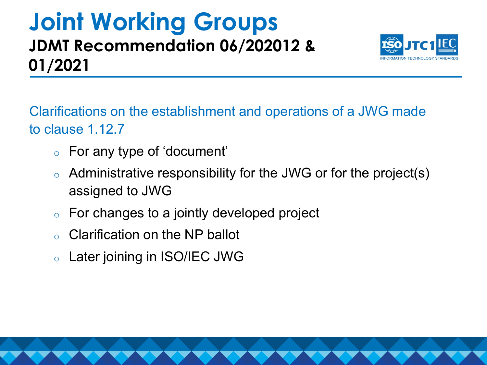### **Joint Working Groups JDMT Recommendation 06/202012 & 01/2021**



Clarifications on the establishment and operations of a JWG made to clause 1.12.7

- o For any type of 'document'
- o Administrative responsibility for the JWG or for the project(s) assigned to JWG
- $\circ$  For changes to a jointly developed project
- o Clarification on the NP ballot
- o Later joining in ISO/IEC JWG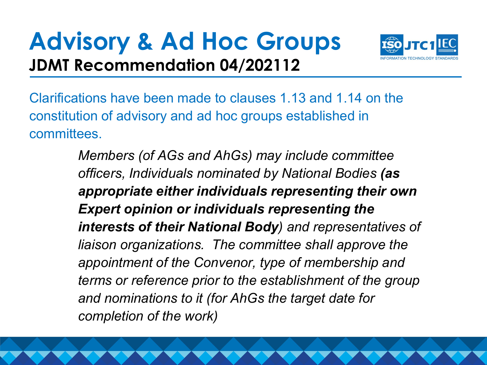## **Advisory & Ad Hoc Groups JDMT Recommendation 04/202112**



Clarifications have been made to clauses 1.13 and 1.14 on the constitution of advisory and ad hoc groups established in committees.

> *Members (of AGs and AhGs) may include committee officers, Individuals nominated by National Bodies (as appropriate either individuals representing their own Expert opinion or individuals representing the interests of their National Body) and representatives of liaison organizations. The committee shall approve the appointment of the Convenor, type of membership and terms or reference prior to the establishment of the group and nominations to it (for AhGs the target date for completion of the work)*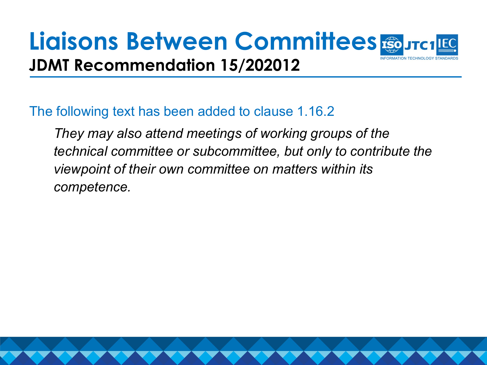### **Liaisons Between Committees JDMT Recommendation 15/202012**

#### The following text has been added to clause 1.16.2

*They may also attend meetings of working groups of the technical committee or subcommittee, but only to contribute the viewpoint of their own committee on matters within its competence.*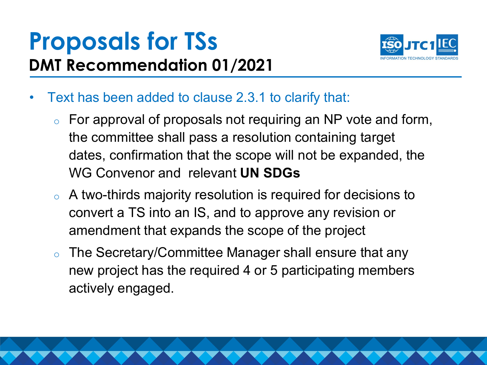## **Proposals for TSs DMT Recommendation 01/2021**



- Text has been added to clause 2.3.1 to clarify that:
	- $\circ$  For approval of proposals not requiring an NP vote and form, the committee shall pass a resolution containing target dates, confirmation that the scope will not be expanded, the WG Convenor and relevant **UN SDGs**
	- o A two-thirds majority resolution is required for decisions to convert a TS into an IS, and to approve any revision or amendment that expands the scope of the project
	- o The Secretary/Committee Manager shall ensure that any new project has the required 4 or 5 participating members actively engaged.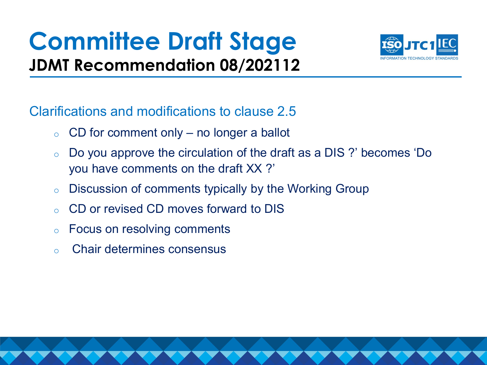## **Committee Draft Stage JDMT Recommendation 08/202112**



Clarifications and modifications to clause 2.5

- $\circ$  CD for comment only no longer a ballot
- o Do you approve the circulation of the draft as a DIS ?' becomes 'Do you have comments on the draft XX ?'
- o Discussion of comments typically by the Working Group
- o CD or revised CD moves forward to DIS
- o Focus on resolving comments
- o Chair determines consensus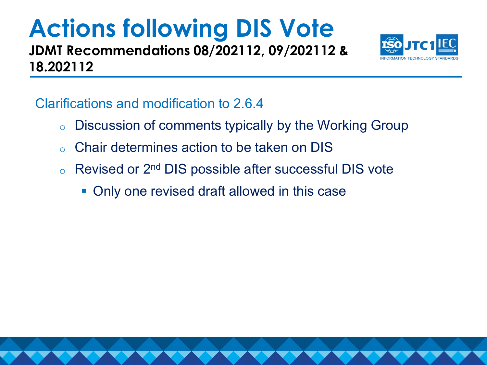### **Actions following DIS Vote JDMT Recommendations 08/202112, 09/202112 &**



Clarifications and modification to 2.6.4

**18.202112**

- o Discussion of comments typically by the Working Group
- o Chair determines action to be taken on DIS
- Revised or 2<sup>nd</sup> DIS possible after successful DIS vote
	- Only one revised draft allowed in this case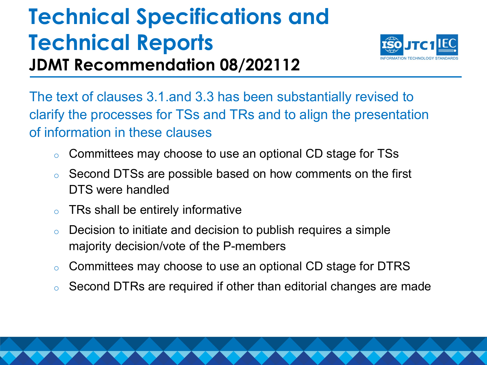## **Technical Specifications and Technical Reports JDMT Recommendation 08/202112**



The text of clauses 3.1.and 3.3 has been substantially revised to clarify the processes for TSs and TRs and to align the presentation of information in these clauses

- o Committees may choose to use an optional CD stage for TSs
- o Second DTSs are possible based on how comments on the first DTS were handled
- $\circ$  TRs shall be entirely informative
- $\circ$  Decision to initiate and decision to publish requires a simple majority decision/vote of the P-members
- o Committees may choose to use an optional CD stage for DTRS
- o Second DTRs are required if other than editorial changes are made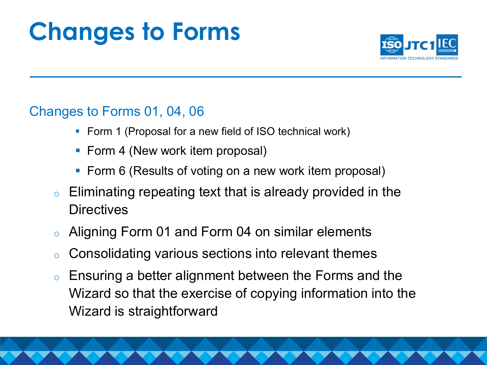# **Changes to Forms**



#### Changes to Forms 01, 04, 06

- **Form 1 (Proposal for a new field of ISO technical work)**
- Form 4 (New work item proposal)
- Form 6 (Results of voting on a new work item proposal)
- $\circ$  Eliminating repeating text that is already provided in the **Directives**
- o Aligning Form 01 and Form 04 on similar elements
- o Consolidating various sections into relevant themes
- o Ensuring a better alignment between the Forms and the Wizard so that the exercise of copying information into the Wizard is straightforward